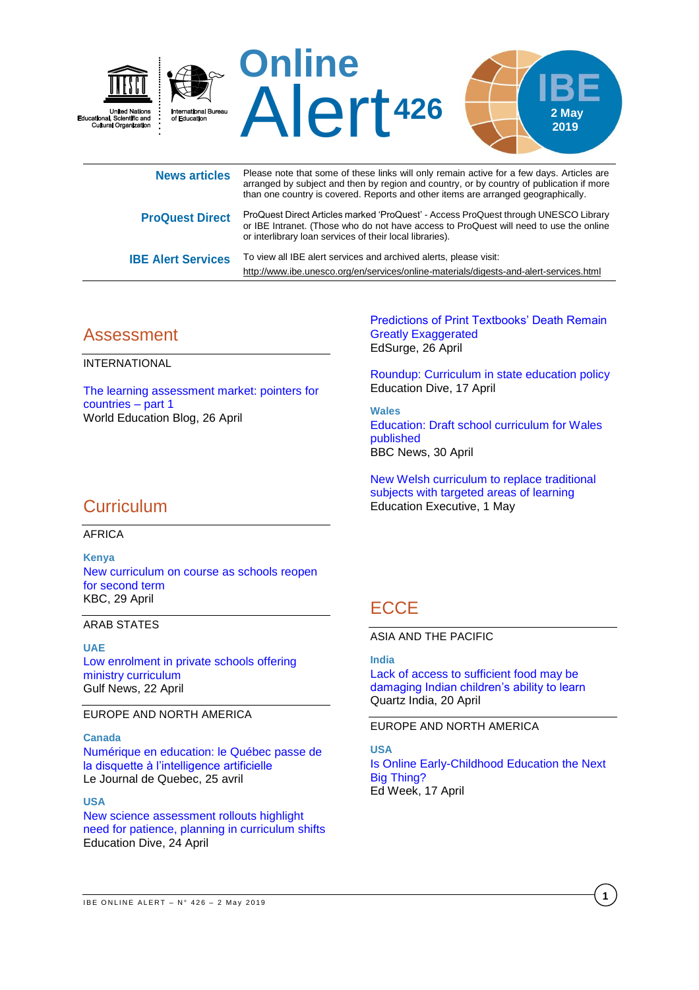

| <b>News articles</b>      | Figure 110 G that Sollie Of these in its will only femall active for a few days. Alticles are<br>arranged by subject and then by region and country, or by country of publication if more<br>than one country is covered. Reports and other items are arranged geographically. |
|---------------------------|--------------------------------------------------------------------------------------------------------------------------------------------------------------------------------------------------------------------------------------------------------------------------------|
| <b>ProQuest Direct</b>    | ProQuest Direct Articles marked 'ProQuest' - Access ProQuest through UNESCO Library<br>or IBE Intranet. (Those who do not have access to ProQuest will need to use the online<br>or interlibrary loan services of their local libraries).                                      |
| <b>IBE Alert Services</b> | To view all IBE alert services and archived alerts, please visit:<br>http://www.ibe.unesco.org/en/services/online-materials/digests-and-alert-services.html                                                                                                                    |

# Assessment

INTERNATIONAL

[The learning assessment market: pointers for](https://gemreportunesco.wordpress.com/2019/04/26/the-learning-assessment-market-pointers-for-countries-part-1/)  [countries –](https://gemreportunesco.wordpress.com/2019/04/26/the-learning-assessment-market-pointers-for-countries-part-1/) part 1 World Education Blog, 26 April

[Predictions of Print Textbooks' Death Remain](https://www.edsurge.com/news/2019-04-26-predictions-of-print-textbooks-death-remain-greatly-exaggerated)  [Greatly Exaggerated](https://www.edsurge.com/news/2019-04-26-predictions-of-print-textbooks-death-remain-greatly-exaggerated) EdSurge, 26 April

[Roundup: Curriculum in state education policy](https://www.educationdive.com/news/roundup-curriculum-in-state-education-policy-3/552746/) Education Dive, 17 April

**Wales** [Education: Draft school curriculum for Wales](https://www.bbc.com/news/uk-wales-48094118)  [published](https://www.bbc.com/news/uk-wales-48094118) BBC News, 30 April

[New Welsh curriculum to replace traditional](https://edexec.co.uk/new-welsh-curriculum-to-replace-traditional-subjects-with-targeted-areas-of-learning/)  [subjects with targeted areas of learning](https://edexec.co.uk/new-welsh-curriculum-to-replace-traditional-subjects-with-targeted-areas-of-learning/) Education Executive, 1 May

# **Curriculum**

AFRICA

**Kenya** [New curriculum on course as schools reopen](https://www.kbc.co.ke/new-curriculum-on-course-as-schools-reopen-for-2nd-term/)  [for second term](https://www.kbc.co.ke/new-curriculum-on-course-as-schools-reopen-for-2nd-term/) KBC, 29 April

### ARAB STATES

**UAE** [Low enrolment in private schools offering](https://gulfnews.com/uae/education/low-enrolment-in-private-schools-offering-ministry-curriculum-1.63485021)  [ministry curriculum](https://gulfnews.com/uae/education/low-enrolment-in-private-schools-offering-ministry-curriculum-1.63485021) Gulf News, 22 April

### EUROPE AND NORTH AMERICA

#### **Canada**

[Numérique en education: le Québec passe de](https://www.journaldequebec.com/2019/04/24/nouveau-cadre-de-reference-de-la-competence-numerique--le-quebec-passe-de-la-disquette-a-lintelligence-artificielle)  [la disquette à l'intelligence artificielle](https://www.journaldequebec.com/2019/04/24/nouveau-cadre-de-reference-de-la-competence-numerique--le-quebec-passe-de-la-disquette-a-lintelligence-artificielle) Le Journal de Quebec, 25 avril

#### **USA**

[New science assessment rollouts highlight](https://www.educationdive.com/news/new-science-assessment-rollouts-highlight-need-for-patience-planning-in-cu/553115/)  [need for patience, planning in curriculum shifts](https://www.educationdive.com/news/new-science-assessment-rollouts-highlight-need-for-patience-planning-in-cu/553115/) Education Dive, 24 April

# **ECCE**

ASIA AND THE PACIFIC

**India**

[Lack of access to sufficient food may be](https://qz.com/india/1600185/food-insecurity-may-be-damaging-indian-childrens-abilities/)  [damaging Indian children's ability to learn](https://qz.com/india/1600185/food-insecurity-may-be-damaging-indian-childrens-abilities/) Quartz India, 20 April

EUROPE AND NORTH AMERICA

**USA** [Is Online Early-Childhood Education the Next](https://blogs.edweek.org/edweek/early_years/2019/04/is_online_early-childhood_education_the_next_big_thing.html)  [Big Thing?](https://blogs.edweek.org/edweek/early_years/2019/04/is_online_early-childhood_education_the_next_big_thing.html) Ed Week, 17 April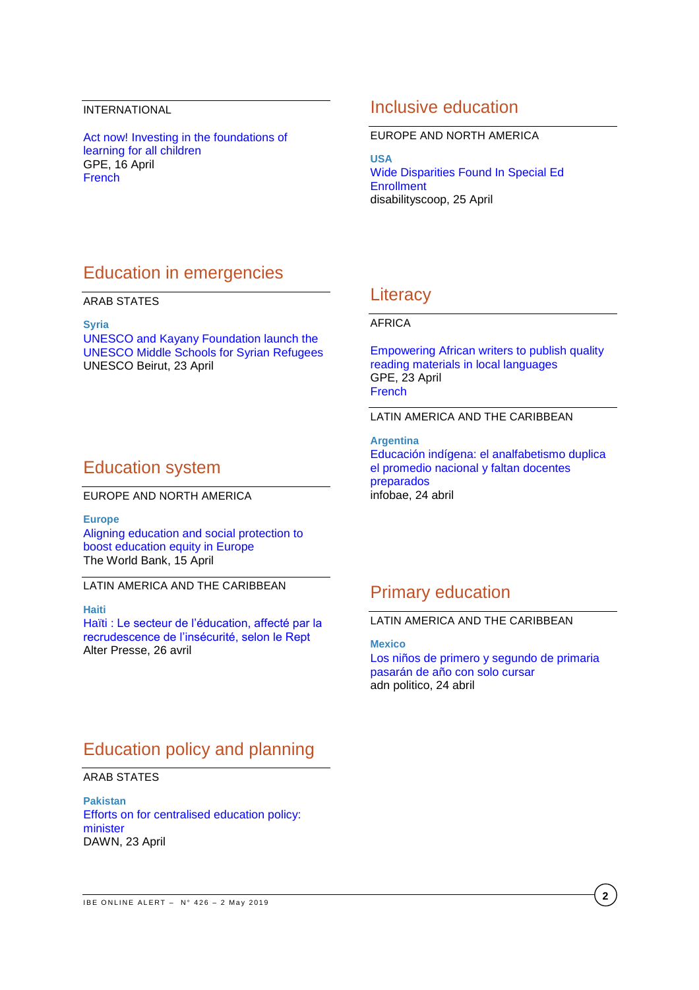### INTERNATIONAL

[Act now! Investing in the foundations of](https://www.globalpartnership.org/blog/act-now-investing-foundations-learning-all-children?audience-profile=international-organization&utm_source=Global%20Partnership%20For%20Education&utm_campaign=9170afd6e6-French%20Campaign%20-%202019-04-17-02-00-07&utm_medium=email&utm_term=0_90856a3035-9170afd6e6-173960077)  [learning for all children](https://www.globalpartnership.org/blog/act-now-investing-foundations-learning-all-children?audience-profile=international-organization&utm_source=Global%20Partnership%20For%20Education&utm_campaign=9170afd6e6-French%20Campaign%20-%202019-04-17-02-00-07&utm_medium=email&utm_term=0_90856a3035-9170afd6e6-173960077) GPE, 16 April [French](https://www.globalpartnership.org/fr/blog/il-est-temps-dagir-investir-dans-les-bases-de-lapprentissage-pour-tous-les-enfants?audience-profile=international-organization&utm_source=Global%20Partnership%20For%20Education&utm_campaign=9170afd6e6-French%20Campaign%20-%202019-04-17-02-00-07&utm_medium=email&utm_term=0_90856a3035-9170afd6e6-173960077)

## Inclusive education

#### EUROPE AND NORTH AMERICA

**USA** [Wide Disparities Found In Special Ed](https://www.disabilityscoop.com/2019/04/25/wide-disparities-special-ed-enrollment/26494/)  **[Enrollment](https://www.disabilityscoop.com/2019/04/25/wide-disparities-special-ed-enrollment/26494/)** disabilityscoop, 25 April

# Education in emergencies

#### ARAB STATES

**Syria**

[UNESCO and Kayany Foundation launch the](http://www.unesco.org/new/en/beirut/single-view/news/unesco_and_kayany_foundation_launch_the_unesco_middle_school/)  [UNESCO Middle Schools for Syrian Refugees](http://www.unesco.org/new/en/beirut/single-view/news/unesco_and_kayany_foundation_launch_the_unesco_middle_school/) UNESCO Beirut, 23 April

# Education system

EUROPE AND NORTH AMERICA

**Europe**

[Aligning education and social protection to](http://blogs.worldbank.org/education/aligning-education-and-social-protection-boost-education-equity-europe)  [boost education equity in Europe](http://blogs.worldbank.org/education/aligning-education-and-social-protection-boost-education-equity-europe) The World Bank, 15 April

### LATIN AMERICA AND THE CARIBBEAN

#### **Haiti**

Haïti [: Le secteur de l'éducation, affecté par la](http://www.alterpresse.org/spip.php?article24265#.XMhLAegzaHt)  [recrudescence de l'insécurité, selon le Rept](http://www.alterpresse.org/spip.php?article24265#.XMhLAegzaHt) Alter Presse, 26 avril

## **Literacy**

### AFRICA

[Empowering African writers to publish quality](https://www.globalpartnership.org/blog/empowering-african-writers-publish-quality-reading-materials-local-languages)  [reading materials in local languages](https://www.globalpartnership.org/blog/empowering-african-writers-publish-quality-reading-materials-local-languages) GPE, 23 April [French](https://www.globalpartnership.org/fr/blog/doter-les-auteurs-africains-des-moyens-de-publier-des-ouvrages-de-qualite-dans-les-langues-locales)

### LATIN AMERICA AND THE CARIBBEAN

**Argentina** [Educación indígena: el analfabetismo duplica](https://www.infobae.com/educacion/2019/04/24/educacion-indigena-el-analfabetismo-duplica-el-promedio-nacional-y-faltan-docentes-preparados/)  [el promedio nacional y faltan docentes](https://www.infobae.com/educacion/2019/04/24/educacion-indigena-el-analfabetismo-duplica-el-promedio-nacional-y-faltan-docentes-preparados/)  [preparados](https://www.infobae.com/educacion/2019/04/24/educacion-indigena-el-analfabetismo-duplica-el-promedio-nacional-y-faltan-docentes-preparados/) infobae, 24 abril

# Primary education

#### LATIN AMERICA AND THE CARIBBEAN

**Mexico**

[Los niños de primero y segundo de primaria](https://adnpolitico.com/mexico/2019/04/22/los-ninos-de-primero-y-segundo-de-primaria-pasaran-de-ano-con-solo-cursar)  [pasarán de año con solo cursar](https://adnpolitico.com/mexico/2019/04/22/los-ninos-de-primero-y-segundo-de-primaria-pasaran-de-ano-con-solo-cursar) adn politico, 24 abril

# Education policy and planning

### ARAB STATES

**Pakistan** [Efforts on for centralised education policy:](https://www.dawn.com/news/1477813)  [minister](https://www.dawn.com/news/1477813) DAWN, 23 April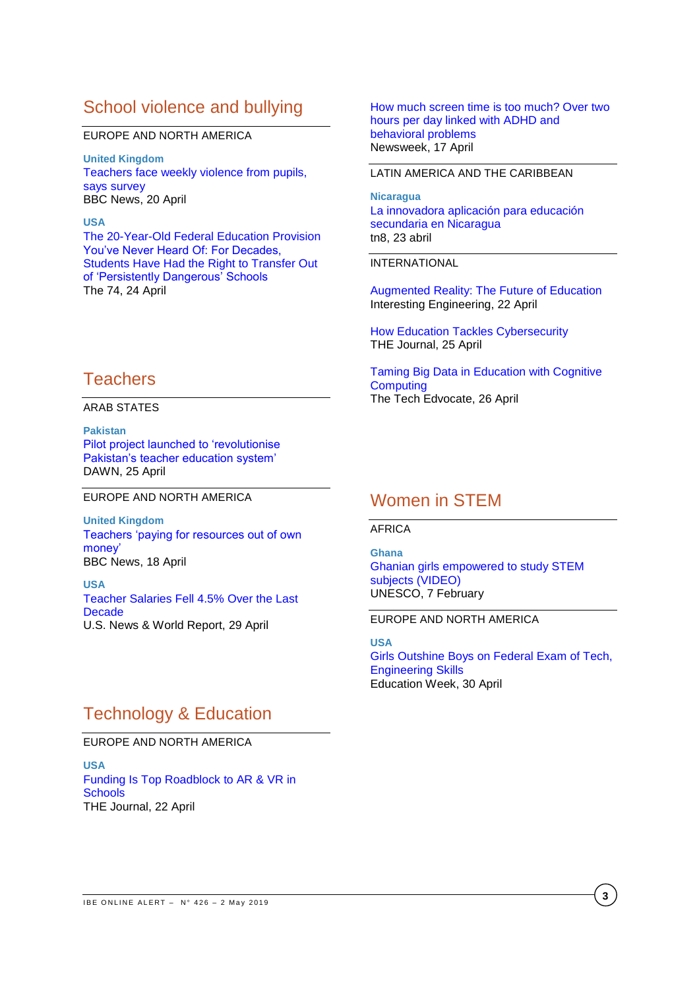# School violence and bullying

#### EUROPE AND NORTH AMERICA

**United Kingdom** [Teachers face weekly violence from pupils,](https://www.bbc.com/news/education-47964155?intlink_from_url=&link_location=live-reporting-story)  [says survey](https://www.bbc.com/news/education-47964155?intlink_from_url=&link_location=live-reporting-story) BBC News, 20 April

### **USA**

[The 20-Year-Old Federal Education Provision](https://www.the74million.org/article/the-20-year-old-federal-education-provision-youve-never-heard-of-for-decades-students-have-had-the-right-to-transfer-out-of-persistently-dangerous-schools/)  [You've Never Heard Of: For Decades,](https://www.the74million.org/article/the-20-year-old-federal-education-provision-youve-never-heard-of-for-decades-students-have-had-the-right-to-transfer-out-of-persistently-dangerous-schools/)  [Students Have Had the Right to Transfer Out](https://www.the74million.org/article/the-20-year-old-federal-education-provision-youve-never-heard-of-for-decades-students-have-had-the-right-to-transfer-out-of-persistently-dangerous-schools/)  [of 'Persistently Dangerous' Schools](https://www.the74million.org/article/the-20-year-old-federal-education-provision-youve-never-heard-of-for-decades-students-have-had-the-right-to-transfer-out-of-persistently-dangerous-schools/) The 74, 24 April

# **Teachers**

### ARAB STATES

**Pakistan** [Pilot project launched to 'revolutionise](https://www.dawn.com/news/1478334)  [Pakistan's teacher education system'](https://www.dawn.com/news/1478334) DAWN, 25 April

### EUROPE AND NORTH AMERICA

**United Kingdom** [Teachers 'paying for resources out of own](https://www.bbc.com/news/education-47964154)  [money'](https://www.bbc.com/news/education-47964154) BBC News, 18 April

**USA** [Teacher Salaries Fell 4.5% Over the Last](https://www.usnews.com/news/education-news/articles/2019-04-29/teacher-salaries-fell-45-over-the-last-decade)  **[Decade](https://www.usnews.com/news/education-news/articles/2019-04-29/teacher-salaries-fell-45-over-the-last-decade)** U.S. News & World Report, 29 April

#### [How much screen time is too much? Over two](https://www.newsweek.com/how-much-screen-time-too-much-over-two-hours-day-linked-adhd-and-behavioral-1397765)  [hours per day linked with ADHD and](https://www.newsweek.com/how-much-screen-time-too-much-over-two-hours-day-linked-adhd-and-behavioral-1397765)  [behavioral problems](https://www.newsweek.com/how-much-screen-time-too-much-over-two-hours-day-linked-adhd-and-behavioral-1397765) Newsweek, 17 April

#### LATIN AMERICA AND THE CARIBBEAN

**Nicaragua** [La innovadora aplicación para educación](https://www.tn8.tv/nacionales/474019-la-innovadora-aplicacion-para-educacion-secundaria-en-nicaragua/)  [secundaria en Nicaragua](https://www.tn8.tv/nacionales/474019-la-innovadora-aplicacion-para-educacion-secundaria-en-nicaragua/) tn8, 23 abril

#### INTERNATIONAL

[Augmented Reality: The Future of Education](https://interestingengineering.com/augmented-reality-the-future-of-education) Interesting Engineering, 22 April

[How Education Tackles Cybersecurity](https://thejournal.com/articles/2019/04/25/how-education-tackles-cybersecurity.aspx) THE Journal, 25 April

[Taming Big Data in Education with Cognitive](https://www.thetechedvocate.org/taming-big-data-in-education-with-cognitive-computing/)  **[Computing](https://www.thetechedvocate.org/taming-big-data-in-education-with-cognitive-computing/)** The Tech Edvocate, 26 April

# Women in STEM

#### AFRICA

**Ghana** [Ghanian girls empowered to study STEM](https://www.youtube.com/watch?v=Xuj0AK3QiVo)  [subjects \(VIDEO\)](https://www.youtube.com/watch?v=Xuj0AK3QiVo) UNESCO, 7 February

### EUROPE AND NORTH AMERICA

**USA** [Girls Outshine Boys on Federal Exam of Tech,](https://www.edweek.org/ew/articles/2019/04/30/girls-outshine-boys-on-federal-exam-of.html)  [Engineering Skills](https://www.edweek.org/ew/articles/2019/04/30/girls-outshine-boys-on-federal-exam-of.html) Education Week, 30 April

# Technology & Education

## EUROPE AND NORTH AMERICA

**USA** [Funding Is Top Roadblock to AR & VR in](https://thejournal.com/articles/2019/04/22/funding-is-top-roadblock-to-ar-vr-in-schools.aspx)  **[Schools](https://thejournal.com/articles/2019/04/22/funding-is-top-roadblock-to-ar-vr-in-schools.aspx)** THE Journal, 22 April

**3**